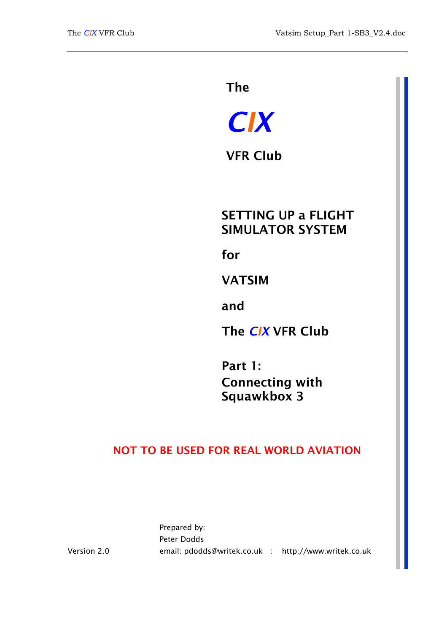The

# *CIX*

VFR Club

# SETTING UP a FLIGHT SIMULATOR SYSTEM

for

VATSIM

and

The *CIX* VFR Club

Part 1: Connecting with Squawkbox 3

## NOT TO BE USED FOR REAL WORLD AVIATION

Prepared by: Peter Dodds email: pdodds@writek.co.uk : http://www.writek.co.uk

Version 2.0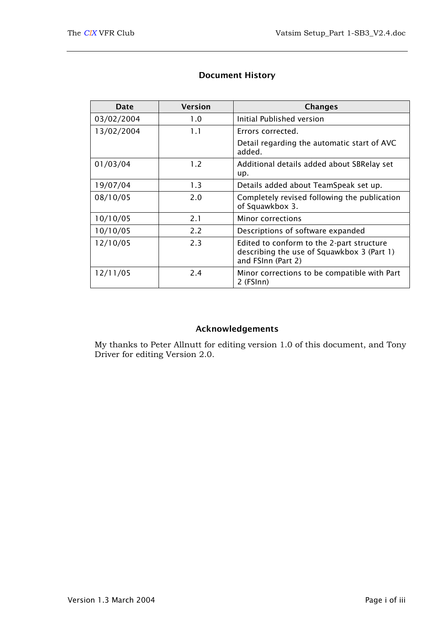| Date       | <b>Version</b> | <b>Changes</b>                                                                                                |
|------------|----------------|---------------------------------------------------------------------------------------------------------------|
| 03/02/2004 | 1.0            | Initial Published version                                                                                     |
| 13/02/2004 | 1.1            | Errors corrected.                                                                                             |
|            |                | Detail regarding the automatic start of AVC<br>added.                                                         |
| 01/03/04   | 1.2            | Additional details added about SBRelay set<br>up.                                                             |
| 19/07/04   | 1.3            | Details added about TeamSpeak set up.                                                                         |
| 08/10/05   | 2.0            | Completely revised following the publication<br>of Squawkbox 3.                                               |
| 10/10/05   | 2.1            | Minor corrections                                                                                             |
| 10/10/05   | 2.2            | Descriptions of software expanded                                                                             |
| 12/10/05   | 2.3            | Edited to conform to the 2-part structure<br>describing the use of Squawkbox 3 (Part 1)<br>and FSInn (Part 2) |
| 12/11/05   | 2.4            | Minor corrections to be compatible with Part<br>2 (FSInn)                                                     |

## Document History

## Acknowledgements

My thanks to Peter Allnutt for editing version 1.0 of this document, and Tony Driver for editing Version 2.0.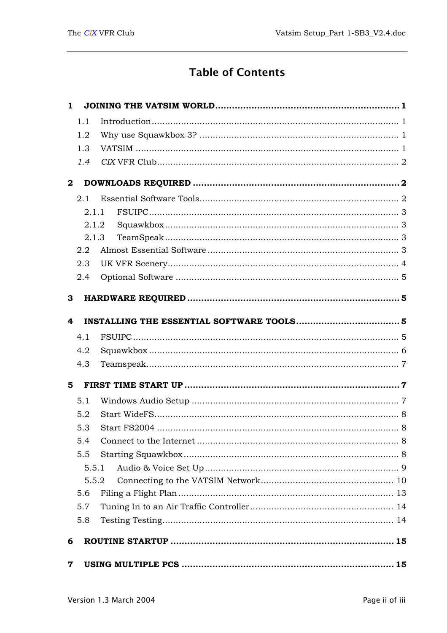# **Table of Contents**

| $\mathbf{1}$ |       |  |
|--------------|-------|--|
|              | 1.1   |  |
|              | 1.2   |  |
|              | 1.3   |  |
|              | 1.4   |  |
| $\mathbf{2}$ |       |  |
|              | 2.1   |  |
|              | 2.1.1 |  |
|              | 2.1.2 |  |
|              | 2.1.3 |  |
|              | 2.2   |  |
|              | 2.3   |  |
|              | 2.4   |  |
| 3            |       |  |
|              |       |  |
| 4            |       |  |
|              | 4.1   |  |
|              | 4.2   |  |
|              | 4.3   |  |
| 5            |       |  |
|              | 5.1   |  |
|              | 5.2   |  |
|              | 5.3   |  |
|              | 5.4   |  |
|              | 5.5   |  |
|              | 5.5.1 |  |
|              | 5.5.2 |  |
|              | 5.6   |  |
|              | 5.7   |  |
|              | 5.8   |  |
| 6            |       |  |
|              |       |  |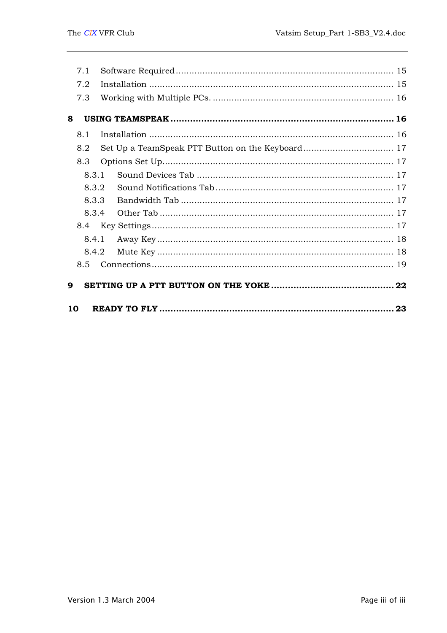|    | 7.1   |  |  |
|----|-------|--|--|
|    | 7.2   |  |  |
|    | 7.3   |  |  |
| 8  |       |  |  |
|    | 8.1   |  |  |
|    | 8.2   |  |  |
|    | 8.3   |  |  |
|    | 8.3.1 |  |  |
|    | 8.3.2 |  |  |
|    | 8.3.3 |  |  |
|    | 8.3.4 |  |  |
|    |       |  |  |
|    | 8.4.1 |  |  |
|    | 8.4.2 |  |  |
|    | 8.5   |  |  |
| 9  |       |  |  |
| 10 |       |  |  |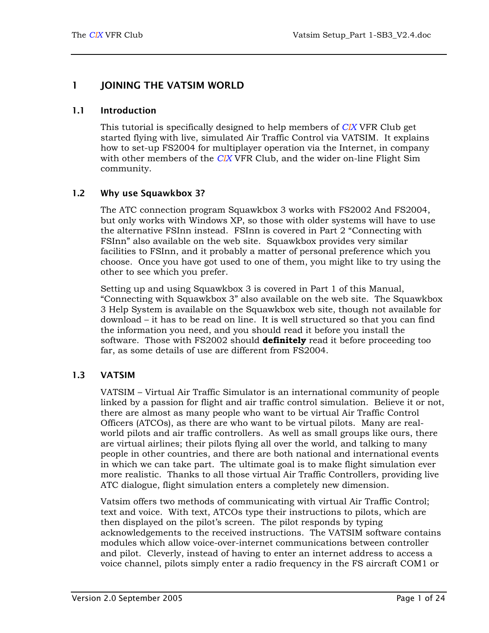## <span id="page-4-0"></span>1 JOINING THE VATSIM WORLD

#### 1.1 Introduction

This tutorial is specifically designed to help members of *CIX* VFR Club get started flying with live, simulated Air Traffic Control via VATSIM. It explains how to set-up FS2004 for multiplayer operation via the Internet, in company with other members of the *CIX* VFR Club, and the wider on-line Flight Sim community.

#### 1.2 Why use Squawkbox 3?

The ATC connection program Squawkbox 3 works with FS2002 And FS2004, but only works with Windows XP, so those with older systems will have to use the alternative FSInn instead. FSInn is covered in Part 2 "Connecting with FSInn" also available on the web site. Squawkbox provides very similar facilities to FSInn, and it probably a matter of personal preference which you choose. Once you have got used to one of them, you might like to try using the other to see which you prefer.

Setting up and using Squawkbox 3 is covered in Part 1 of this Manual, "Connecting with Squawkbox 3" also available on the web site. The Squawkbox 3 Help System is available on the Squawkbox web site, though not available for download – it has to be read on line. It is well structured so that you can find the information you need, and you should read it before you install the software. Those with FS2002 should **definitely** read it before proceeding too far, as some details of use are different from FS2004.

#### 1.3 VATSIM

VATSIM – Virtual Air Traffic Simulator is an international community of people linked by a passion for flight and air traffic control simulation. Believe it or not, there are almost as many people who want to be virtual Air Traffic Control Officers (ATCOs), as there are who want to be virtual pilots. Many are realworld pilots and air traffic controllers. As well as small groups like ours, there are virtual airlines; their pilots flying all over the world, and talking to many people in other countries, and there are both national and international events in which we can take part. The ultimate goal is to make flight simulation ever more realistic. Thanks to all those virtual Air Traffic Controllers, providing live ATC dialogue, flight simulation enters a completely new dimension.

Vatsim offers two methods of communicating with virtual Air Traffic Control; text and voice. With text, ATCOs type their instructions to pilots, which are then displayed on the pilot's screen. The pilot responds by typing acknowledgements to the received instructions. The VATSIM software contains modules which allow voice-over-internet communications between controller and pilot. Cleverly, instead of having to enter an internet address to access a voice channel, pilots simply enter a radio frequency in the FS aircraft COM1 or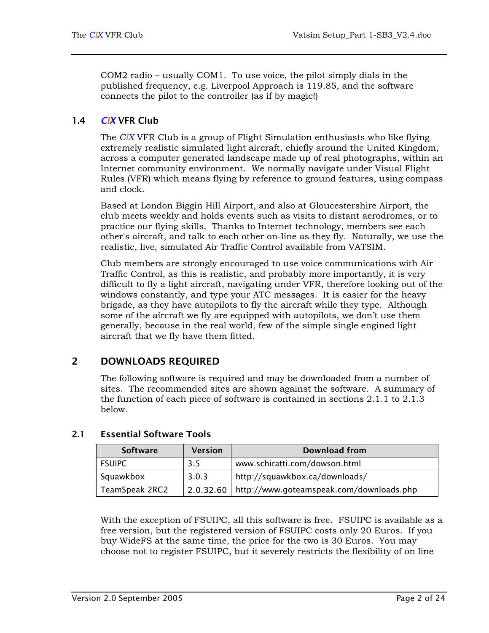COM2 radio – usually COM1. To use voice, the pilot simply dials in the published frequency, e.g. Liverpool Approach is 119.85, and the software connects the pilot to the controller (as if by magic!)

## <span id="page-5-0"></span>1.4 *CIX* VFR Club

The *CIX* VFR Club is a group of Flight Simulation enthusiasts who like flying extremely realistic simulated light aircraft, chiefly around the United Kingdom, across a computer generated landscape made up of real photographs, within an Internet community environment. We normally navigate under Visual Flight Rules (VFR) which means flying by reference to ground features, using compass and clock.

Based at London Biggin Hill Airport, and also at Gloucestershire Airport, the club meets weekly and holds events such as visits to distant aerodromes, or to practice our flying skills. Thanks to Internet technology, members see each other's aircraft, and talk to each other on-line as they fly. Naturally, we use the realistic, live, simulated Air Traffic Control available from VATSIM.

Club members are strongly encouraged to use voice communications with Air Traffic Control, as this is realistic, and probably more importantly, it is very difficult to fly a light aircraft, navigating under VFR, therefore looking out of the windows constantly, and type your ATC messages. It is easier for the heavy brigade, as they have autopilots to fly the aircraft while they type. Although some of the aircraft we fly are equipped with autopilots, we don't use them generally, because in the real world, few of the simple single engined light aircraft that we fly have them fitted.

## 2 DOWNLOADS REQUIRED

The following software is required and may be downloaded from a number of sites. The recommended sites are shown against the software. A summary of the function of each piece of software is contained in sections [2.1.1](#page-6-1) to [2.1.3](#page-6-2)  below.

| <b>Software</b> | Download from<br><b>Version</b> |                                          |
|-----------------|---------------------------------|------------------------------------------|
| <b>FSUIPC</b>   | 3.5                             | www.schiratti.com/dowson.html            |
| Squawkbox       | 3.0.3                           | http://squawkbox.ca/downloads/           |
| TeamSpeak 2RC2  | 2.0.32.60                       | http://www.goteamspeak.com/downloads.php |

## 2.1 Essential Software Tools

With the exception of FSUIPC, all this software is free. FSUIPC is available as a free version, but the registered version of FSUIPC costs only 20 Euros. If you buy WideFS at the same time, the price for the two is 30 Euros. You may choose not to register FSUIPC, but it severely restricts the flexibility of on line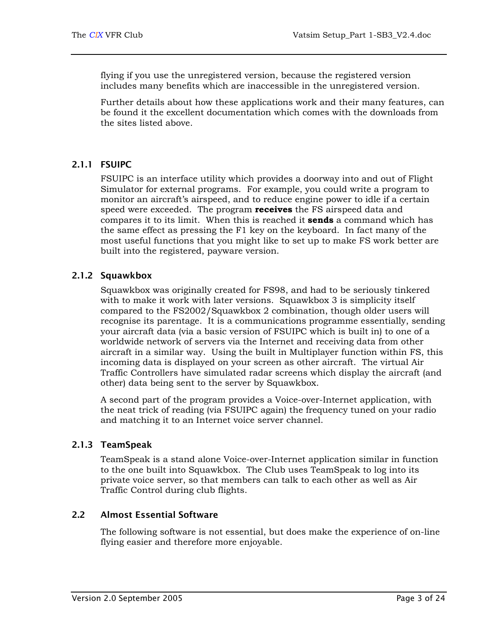<span id="page-6-0"></span>flying if you use the unregistered version, because the registered version includes many benefits which are inaccessible in the unregistered version.

Further details about how these applications work and their many features, can be found it the excellent documentation which comes with the downloads from the sites listed above.

## 2.1.1 FSUIPC

<span id="page-6-1"></span>FSUIPC is an interface utility which provides a doorway into and out of Flight Simulator for external programs. For example, you could write a program to monitor an aircraft's airspeed, and to reduce engine power to idle if a certain speed were exceeded. The program **receives** the FS airspeed data and compares it to its limit. When this is reached it **sends** a command which has the same effect as pressing the F1 key on the keyboard. In fact many of the most useful functions that you might like to set up to make FS work better are built into the registered, payware version.

## 2.1.2 Squawkbox

Squawkbox was originally created for FS98, and had to be seriously tinkered with to make it work with later versions. Squawkbox 3 is simplicity itself compared to the FS2002/Squawkbox 2 combination, though older users will recognise its parentage. It is a communications programme essentially, sending your aircraft data (via a basic version of FSUIPC which is built in) to one of a worldwide network of servers via the Internet and receiving data from other aircraft in a similar way. Using the built in Multiplayer function within FS, this incoming data is displayed on your screen as other aircraft. The virtual Air Traffic Controllers have simulated radar screens which display the aircraft (and other) data being sent to the server by Squawkbox.

A second part of the program provides a Voice-over-Internet application, with the neat trick of reading (via FSUIPC again) the frequency tuned on your radio and matching it to an Internet voice server channel.

## 2.1.3 TeamSpeak

<span id="page-6-2"></span>TeamSpeak is a stand alone Voice-over-Internet application similar in function to the one built into Squawkbox. The Club uses TeamSpeak to log into its private voice server, so that members can talk to each other as well as Air Traffic Control during club flights.

## 2.2 Almost Essential Software

The following software is not essential, but does make the experience of on-line flying easier and therefore more enjoyable.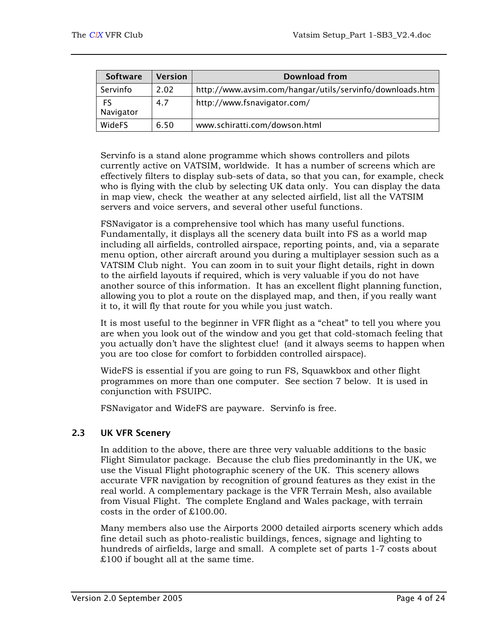<span id="page-7-0"></span>

| <b>Software</b> | <b>Version</b> | Download from                                            |
|-----------------|----------------|----------------------------------------------------------|
| Servinfo        | 2.02           | http://www.avsim.com/hangar/utils/servinfo/downloads.htm |
| FS<br>Navigator | 4.7            | http://www.fsnavigator.com/                              |
| <b>WideFS</b>   | 6.50           | www.schiratti.com/dowson.html                            |

Servinfo is a stand alone programme which shows controllers and pilots currently active on VATSIM, worldwide. It has a number of screens which are effectively filters to display sub-sets of data, so that you can, for example, check who is flying with the club by selecting UK data only. You can display the data in map view, check the weather at any selected airfield, list all the VATSIM servers and voice servers, and several other useful functions.

FSNavigator is a comprehensive tool which has many useful functions. Fundamentally, it displays all the scenery data built into FS as a world map including all airfields, controlled airspace, reporting points, and, via a separate menu option, other aircraft around you during a multiplayer session such as a VATSIM Club night. You can zoom in to suit your flight details, right in down to the airfield layouts if required, which is very valuable if you do not have another source of this information. It has an excellent flight planning function, allowing you to plot a route on the displayed map, and then, if you really want it to, it will fly that route for you while you just watch.

It is most useful to the beginner in VFR flight as a "cheat" to tell you where you are when you look out of the window and you get that cold-stomach feeling that you actually don't have the slightest clue! (and it always seems to happen when you are too close for comfort to forbidden controlled airspace).

WideFS is essential if you are going to run FS, Squawkbox and other flight programmes on more than one computer. See section [7](#page-18-1) below. It is used in conjunction with FSUIPC.

FSNavigator and WideFS are payware. Servinfo is free.

#### 2.3 UK VFR Scenery

In addition to the above, there are three very valuable additions to the basic Flight Simulator package. Because the club flies predominantly in the UK, we use the Visual Flight photographic scenery of the UK. This scenery allows accurate VFR navigation by recognition of ground features as they exist in the real world. A complementary package is the VFR Terrain Mesh, also available from Visual Flight. The complete England and Wales package, with terrain costs in the order of £100.00.

Many members also use the Airports 2000 detailed airports scenery which adds fine detail such as photo-realistic buildings, fences, signage and lighting to hundreds of airfields, large and small. A complete set of parts 1-7 costs about £100 if bought all at the same time.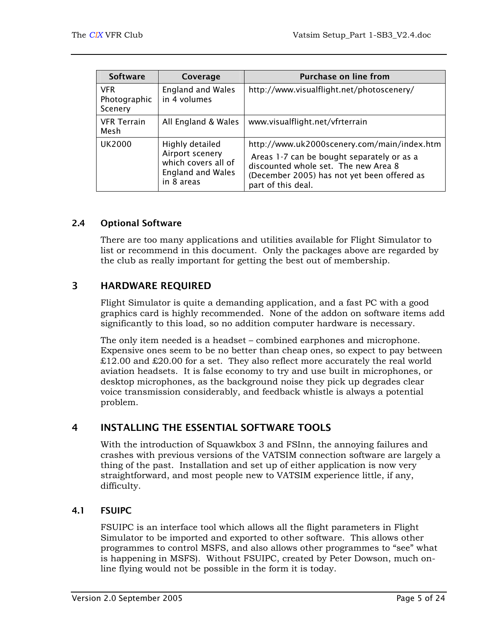<span id="page-8-0"></span>

| <b>Software</b>                       | Coverage                                                                                            | <b>Purchase on line from</b>                                                                                                                                                                           |
|---------------------------------------|-----------------------------------------------------------------------------------------------------|--------------------------------------------------------------------------------------------------------------------------------------------------------------------------------------------------------|
| <b>VFR</b><br>Photographic<br>Scenery | <b>England and Wales</b><br>in 4 volumes                                                            | http://www.visualflight.net/photoscenery/                                                                                                                                                              |
| <b>VFR Terrain</b><br>Mesh            | All England & Wales                                                                                 | www.visualflight.net/vfrterrain                                                                                                                                                                        |
| <b>UK2000</b>                         | Highly detailed<br>Airport scenery<br>which covers all of<br><b>England and Wales</b><br>in 8 areas | http://www.uk2000scenery.com/main/index.htm<br>Areas 1-7 can be bought separately or as a<br>discounted whole set. The new Area 8<br>(December 2005) has not yet been offered as<br>part of this deal. |

#### 2.4 Optional Software

There are too many applications and utilities available for Flight Simulator to list or recommend in this document. Only the packages above are regarded by the club as really important for getting the best out of membership.

## 3 HARDWARE REQUIRED

Flight Simulator is quite a demanding application, and a fast PC with a good graphics card is highly recommended. None of the addon on software items add significantly to this load, so no addition computer hardware is necessary.

The only item needed is a headset – combined earphones and microphone. Expensive ones seem to be no better than cheap ones, so expect to pay between  $£12.00$  and £20.00 for a set. They also reflect more accurately the real world aviation headsets. It is false economy to try and use built in microphones, or desktop microphones, as the background noise they pick up degrades clear voice transmission considerably, and feedback whistle is always a potential problem.

## 4 INSTALLING THE ESSENTIAL SOFTWARE TOOLS

With the introduction of Squawkbox 3 and FSInn, the annoying failures and crashes with previous versions of the VATSIM connection software are largely a thing of the past. Installation and set up of either application is now very straightforward, and most people new to VATSIM experience little, if any, difficulty.

## 4.1 FSUIPC

FSUIPC is an interface tool which allows all the flight parameters in Flight Simulator to be imported and exported to other software. This allows other programmes to control MSFS, and also allows other programmes to "see" what is happening in MSFS). Without FSUIPC, created by Peter Dowson, much online flying would not be possible in the form it is today.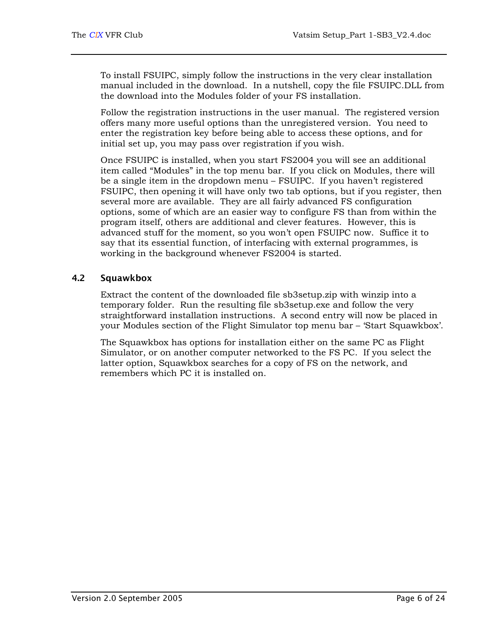<span id="page-9-0"></span>To install FSUIPC, simply follow the instructions in the very clear installation manual included in the download. In a nutshell, copy the file FSUIPC.DLL from the download into the Modules folder of your FS installation.

Follow the registration instructions in the user manual. The registered version offers many more useful options than the unregistered version. You need to enter the registration key before being able to access these options, and for initial set up, you may pass over registration if you wish.

Once FSUIPC is installed, when you start FS2004 you will see an additional item called "Modules" in the top menu bar. If you click on Modules, there will be a single item in the dropdown menu – FSUIPC. If you haven't registered FSUIPC, then opening it will have only two tab options, but if you register, then several more are available. They are all fairly advanced FS configuration options, some of which are an easier way to configure FS than from within the program itself, others are additional and clever features. However, this is advanced stuff for the moment, so you won't open FSUIPC now. Suffice it to say that its essential function, of interfacing with external programmes, is working in the background whenever FS2004 is started.

## 4.2 Squawkbox

Extract the content of the downloaded file sb3setup.zip with winzip into a temporary folder. Run the resulting file sb3setup.exe and follow the very straightforward installation instructions. A second entry will now be placed in your Modules section of the Flight Simulator top menu bar – 'Start Squawkbox'.

The Squawkbox has options for installation either on the same PC as Flight Simulator, or on another computer networked to the FS PC. If you select the latter option, Squawkbox searches for a copy of FS on the network, and remembers which PC it is installed on.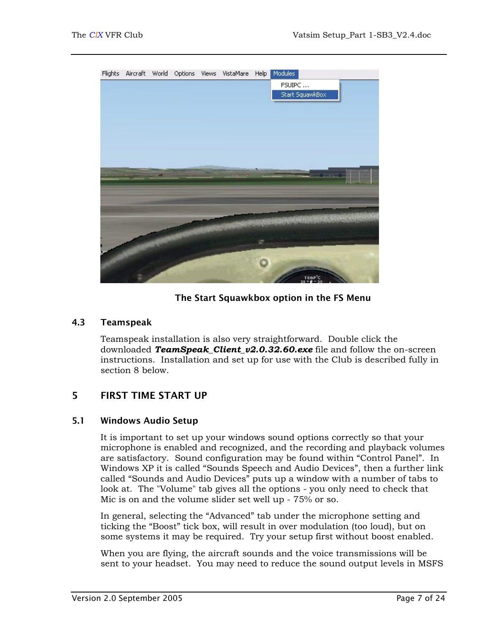<span id="page-10-0"></span>

#### The Start Squawkbox option in the FS Menu

#### 4.3 Teamspeak

Teamspeak installation is also very straightforward. Double click the downloaded *TeamSpeak\_Client\_v2.0.32.60.exe* file and follow the on-screen instructions. Installation and set up for use with the Club is described fully in section [8](#page-19-1) below.

## 5 FIRST TIME START UP

#### 5.1 Windows Audio Setup

It is important to set up your windows sound options correctly so that your microphone is enabled and recognized, and the recording and playback volumes are satisfactory. Sound configuration may be found within "Control Panel". In Windows XP it is called "Sounds Speech and Audio Devices", then a further link called "Sounds and Audio Devices" puts up a window with a number of tabs to look at. The "Volume" tab gives all the options - you only need to check that Mic is on and the volume slider set well up - 75% or so.

In general, selecting the "Advanced" tab under the microphone setting and ticking the "Boost" tick box, will result in over modulation (too loud), but on some systems it may be required. Try your setup first without boost enabled.

When you are flying, the aircraft sounds and the voice transmissions will be sent to your headset. You may need to reduce the sound output levels in MSFS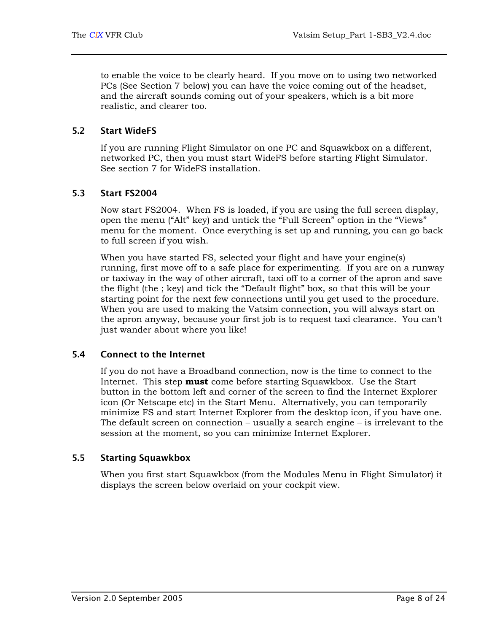<span id="page-11-0"></span>to enable the voice to be clearly heard. If you move on to using two networked PCs (See Section [7](#page-18-1) below) you can have the voice coming out of the headset, and the aircraft sounds coming out of your speakers, which is a bit more realistic, and clearer too.

## 5.2 Start WideFS

If you are running Flight Simulator on one PC and Squawkbox on a different, networked PC, then you must start WideFS before starting Flight Simulator. See section [7](#page-18-1) for WideFS installation.

## 5.3 Start FS2004

Now start FS2004. When FS is loaded, if you are using the full screen display, open the menu ("Alt" key) and untick the "Full Screen" option in the "Views" menu for the moment. Once everything is set up and running, you can go back to full screen if you wish.

When you have started FS, selected your flight and have your engine(s) running, first move off to a safe place for experimenting. If you are on a runway or taxiway in the way of other aircraft, taxi off to a corner of the apron and save the flight (the ; key) and tick the "Default flight" box, so that this will be your starting point for the next few connections until you get used to the procedure. When you are used to making the Vatsim connection, you will always start on the apron anyway, because your first job is to request taxi clearance. You can't just wander about where you like!

## 5.4 Connect to the Internet

If you do not have a Broadband connection, now is the time to connect to the Internet. This step **must** come before starting Squawkbox. Use the Start button in the bottom left and corner of the screen to find the Internet Explorer icon (Or Netscape etc) in the Start Menu. Alternatively, you can temporarily minimize FS and start Internet Explorer from the desktop icon, if you have one. The default screen on connection – usually a search engine – is irrelevant to the session at the moment, so you can minimize Internet Explorer.

## 5.5 Starting Squawkbox

When you first start Squawkbox (from the Modules Menu in Flight Simulator) it displays the screen below overlaid on your cockpit view.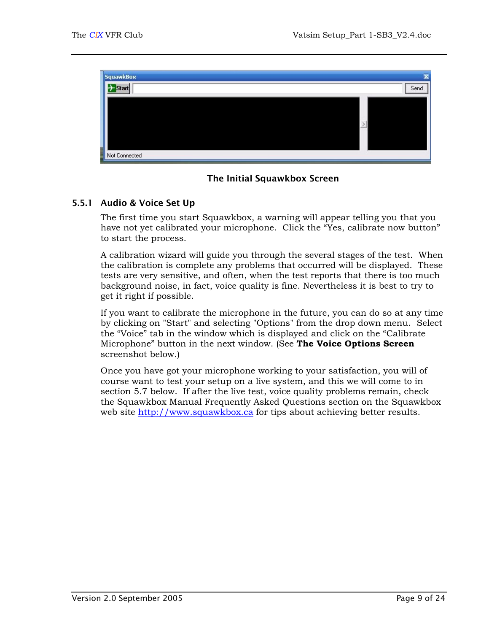<span id="page-12-0"></span>



## 5.5.1 Audio & Voice Set Up

The first time you start Squawkbox, a warning will appear telling you that you have not yet calibrated your microphone. Click the "Yes, calibrate now button" to start the process.

A calibration wizard will guide you through the several stages of the test. When the calibration is complete any problems that occurred will be displayed. These tests are very sensitive, and often, when the test reports that there is too much background noise, in fact, voice quality is fine. Nevertheless it is best to try to get it right if possible.

If you want to calibrate the microphone in the future, you can do so at any time by clicking on "Start" and selecting "Options" from the drop down menu. Select the "Voice" tab in the window which is displayed and click on the "Calibrate Microphone" button in the next window. (See **The Voice Options Screen** screenshot below.)

Once you have got your microphone working to your satisfaction, you will of course want to test your setup on a live system, and this we will come to in section [5.7](#page-17-1) below. If after the live test, voice quality problems remain, check the Squawkbox Manual Frequently Asked Questions section on the Squawkbox web site [http://www.squawkbox.ca](http://www.squawkbox.ca/) for tips about achieving better results.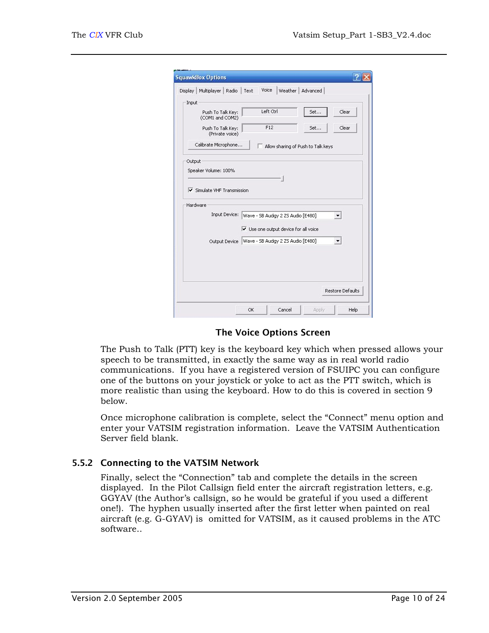<span id="page-13-0"></span>

| Display   Multiplayer   Radio                         | Voice<br>Weather  <br>Text                          | Advanced                           |       |
|-------------------------------------------------------|-----------------------------------------------------|------------------------------------|-------|
| Input                                                 |                                                     |                                    |       |
| Push To Talk Key:<br>(COM1 and COM2)                  | Left Ctrl                                           | Set                                | Clear |
| Push To Talk Key:<br>(Private voice)                  | F12                                                 | Set                                | Clear |
| Calibrate Microphone                                  |                                                     | Allow sharing of Push to Talk keys |       |
| Output                                                |                                                     |                                    |       |
| $\triangledown$ Simulate VHF Transmission<br>Hardware |                                                     |                                    |       |
| Input Device:                                         | Wave - SB Audigy 2 ZS Audio [E480]                  |                                    |       |
|                                                       | $\triangledown$ Use one output device for all voice |                                    |       |
|                                                       |                                                     |                                    |       |
| Output Device                                         | Wave - SB Audigy 2 ZS Audio [E480]                  |                                    |       |
|                                                       |                                                     |                                    |       |

#### The Voice Options Screen

The Push to Talk (PTT) key is the keyboard key which when pressed allows your speech to be transmitted, in exactly the same way as in real world radio communications. If you have a registered version of FSUIPC you can configure one of the buttons on your joystick or yoke to act as the PTT switch, which is more realistic than using the keyboard. How to do this is covered in section [9](#page-25-1)  below.

Once microphone calibration is complete, select the "Connect" menu option and enter your VATSIM registration information. Leave the VATSIM Authentication Server field blank.

#### 5.5.2 Connecting to the VATSIM Network

Finally, select the "Connection" tab and complete the details in the screen displayed. In the Pilot Callsign field enter the aircraft registration letters, e.g. GGYAV (the Author's callsign, so he would be grateful if you used a different one!). The hyphen usually inserted after the first letter when painted on real aircraft (e.g. G-GYAV) is omitted for VATSIM, as it caused problems in the ATC software..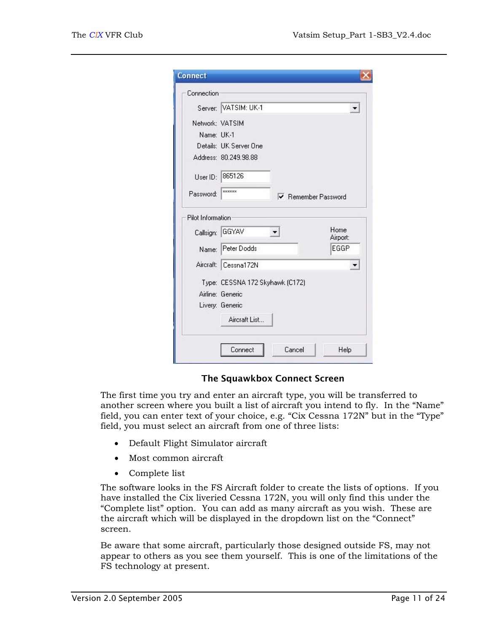| Connection        |                                 |                      |
|-------------------|---------------------------------|----------------------|
|                   | Server: VATSIM: UK-1            | $\blacktriangledown$ |
| Network: VATSIM   |                                 |                      |
| Name: UK-1        |                                 |                      |
|                   | Details: UK Server One          |                      |
|                   | Address: 80.249.98.88           |                      |
|                   | User ID: 865126                 |                      |
| Password:         | <b>xxxxxx</b>                   | Remember Password    |
| Pilot Information |                                 |                      |
|                   | Callsign: GGYAV                 | Home<br>Airport:     |
|                   | Name: Peter Dodds               | EGGP                 |
|                   | Aircraft: Cessna172N            |                      |
|                   | Type: CESSNA 172 Skyhawk (C172) |                      |
|                   | Airline: Generic                |                      |
|                   | Livery: Generic                 |                      |
|                   |                                 |                      |
|                   | Aircraft List                   |                      |

#### The Squawkbox Connect Screen

The first time you try and enter an aircraft type, you will be transferred to another screen where you built a list of aircraft you intend to fly. In the "Name" field, you can enter text of your choice, e.g. "Cix Cessna 172N" but in the "Type" field, you must select an aircraft from one of three lists:

- Default Flight Simulator aircraft
- Most common aircraft
- Complete list

The software looks in the FS Aircraft folder to create the lists of options. If you have installed the Cix liveried Cessna 172N, you will only find this under the "Complete list" option. You can add as many aircraft as you wish. These are the aircraft which will be displayed in the dropdown list on the "Connect" screen.

Be aware that some aircraft, particularly those designed outside FS, may not appear to others as you see them yourself. This is one of the limitations of the FS technology at present.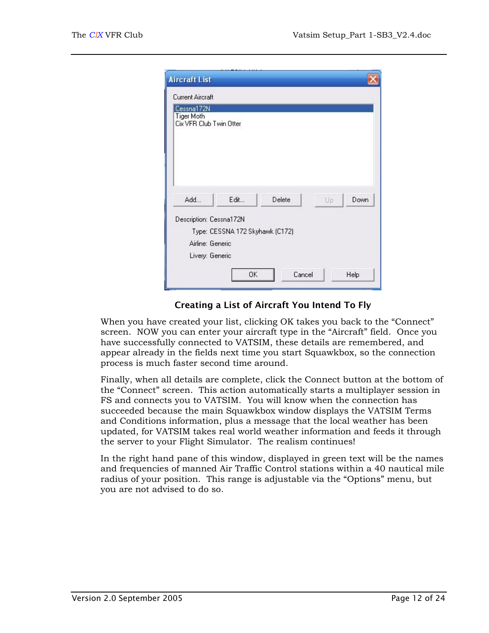| <b>Aircraft List</b>                                       |                                 |        |    |      |
|------------------------------------------------------------|---------------------------------|--------|----|------|
| Current Aircraft                                           |                                 |        |    |      |
| Cessna172N<br><b>Tiger Moth</b><br>Cix VFR Club Twin Otter |                                 |        |    |      |
| Add                                                        | Edit                            | Delete | Up | Down |
| Description: Cessna172N                                    | Type: CESSNA 172 Skyhawk (C172) |        |    |      |
| Airline: Generic                                           |                                 |        |    |      |
| Livery: Generic                                            |                                 |        |    |      |
|                                                            | OK                              | Cancel |    | Help |

#### Creating a List of Aircraft You Intend To Fly

When you have created your list, clicking OK takes you back to the "Connect" screen. NOW you can enter your aircraft type in the "Aircraft" field. Once you have successfully connected to VATSIM, these details are remembered, and appear already in the fields next time you start Squawkbox, so the connection process is much faster second time around.

Finally, when all details are complete, click the Connect button at the bottom of the "Connect" screen. This action automatically starts a multiplayer session in FS and connects you to VATSIM. You will know when the connection has succeeded because the main Squawkbox window displays the VATSIM Terms and Conditions information, plus a message that the local weather has been updated, for VATSIM takes real world weather information and feeds it through the server to your Flight Simulator. The realism continues!

In the right hand pane of this window, displayed in green text will be the names and frequencies of manned Air Traffic Control stations within a 40 nautical mile radius of your position. This range is adjustable via the "Options" menu, but you are not advised to do so.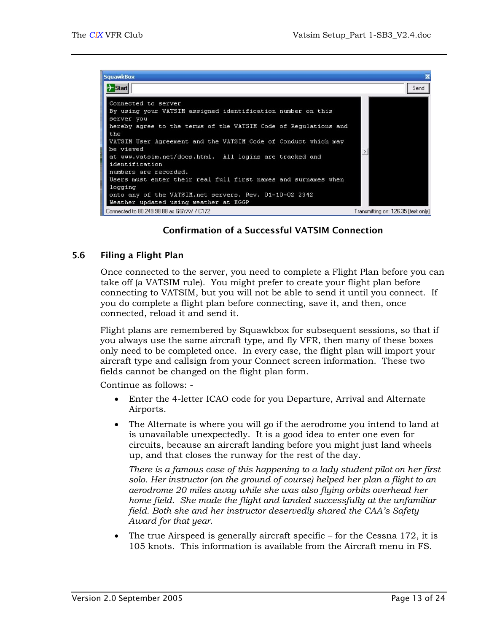<span id="page-16-0"></span>

## Confirmation of a Successful VATSIM Connection

#### 5.6 Filing a Flight Plan

Once connected to the server, you need to complete a Flight Plan before you can take off (a VATSIM rule). You might prefer to create your flight plan before connecting to VATSIM, but you will not be able to send it until you connect. If you do complete a flight plan before connecting, save it, and then, once connected, reload it and send it.

Flight plans are remembered by Squawkbox for subsequent sessions, so that if you always use the same aircraft type, and fly VFR, then many of these boxes only need to be completed once. In every case, the flight plan will import your aircraft type and callsign from your Connect screen information. These two fields cannot be changed on the flight plan form.

Continue as follows: -

- Enter the 4-letter ICAO code for you Departure, Arrival and Alternate Airports.
- The Alternate is where you will go if the aerodrome you intend to land at is unavailable unexpectedly. It is a good idea to enter one even for circuits, because an aircraft landing before you might just land wheels up, and that closes the runway for the rest of the day.

*There is a famous case of this happening to a lady student pilot on her first solo. Her instructor (on the ground of course) helped her plan a flight to an aerodrome 20 miles away while she was also flying orbits overhead her home field. She made the flight and landed successfully at the unfamiliar field. Both she and her instructor deservedly shared the CAA's Safety Award for that year.*

• The true Airspeed is generally aircraft specific – for the Cessna 172, it is 105 knots. This information is available from the Aircraft menu in FS.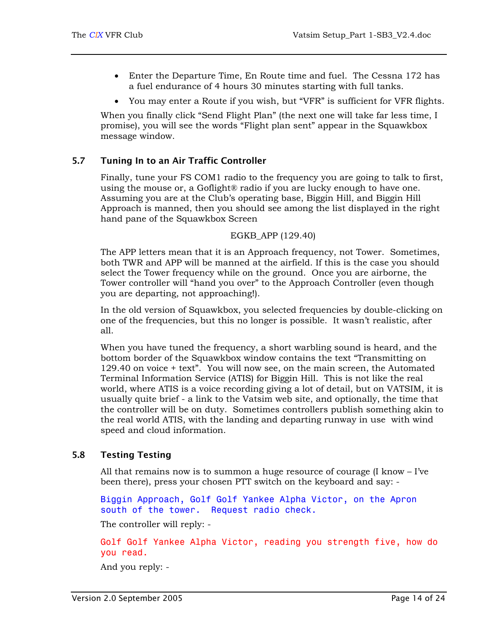- <span id="page-17-0"></span>• Enter the Departure Time, En Route time and fuel. The Cessna 172 has a fuel endurance of 4 hours 30 minutes starting with full tanks.
- You may enter a Route if you wish, but "VFR" is sufficient for VFR flights.

When you finally click "Send Flight Plan" (the next one will take far less time, I promise), you will see the words "Flight plan sent" appear in the Squawkbox message window.

#### 5.7 Tuning In to an Air Traffic Controller

<span id="page-17-1"></span>Finally, tune your FS COM1 radio to the frequency you are going to talk to first, using the mouse or, a Goflight® radio if you are lucky enough to have one. Assuming you are at the Club's operating base, Biggin Hill, and Biggin Hill Approach is manned, then you should see among the list displayed in the right hand pane of the Squawkbox Screen

EGKB\_APP (129.40)

The APP letters mean that it is an Approach frequency, not Tower. Sometimes, both TWR and APP will be manned at the airfield. If this is the case you should select the Tower frequency while on the ground. Once you are airborne, the Tower controller will "hand you over" to the Approach Controller (even though you are departing, not approaching!).

In the old version of Squawkbox, you selected frequencies by double-clicking on one of the frequencies, but this no longer is possible. It wasn't realistic, after all.

When you have tuned the frequency, a short warbling sound is heard, and the bottom border of the Squawkbox window contains the text "Transmitting on 129.40 on voice + text". You will now see, on the main screen, the Automated Terminal Information Service (ATIS) for Biggin Hill. This is not like the real world, where ATIS is a voice recording giving a lot of detail, but on VATSIM, it is usually quite brief - a link to the Vatsim web site, and optionally, the time that the controller will be on duty. Sometimes controllers publish something akin to the real world ATIS, with the landing and departing runway in use with wind speed and cloud information.

## 5.8 Testing Testing

All that remains now is to summon a huge resource of courage (I know – I've been there), press your chosen PTT switch on the keyboard and say: -

Biggin Approach, Golf Golf Yankee Alpha Victor, on the Apron south of the tower. Request radio check.

The controller will reply: -

Golf Golf Yankee Alpha Victor, reading you strength five, how do you read.

And you reply: -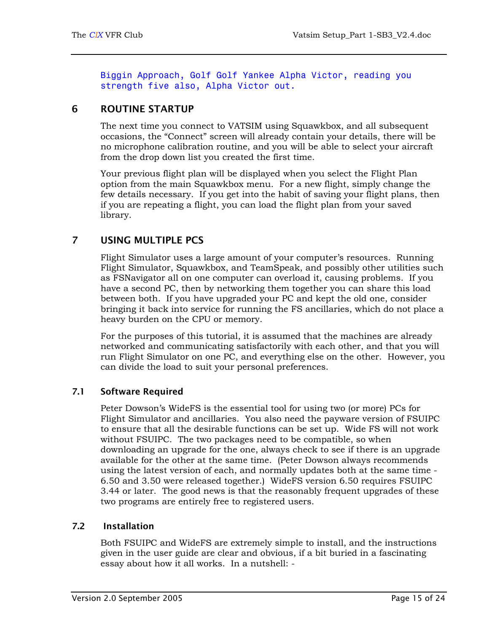Biggin Approach, Golf Golf Yankee Alpha Victor, reading you strength five also, Alpha Victor out.

## <span id="page-18-0"></span>6 ROUTINE STARTUP

The next time you connect to VATSIM using Squawkbox, and all subsequent occasions, the "Connect" screen will already contain your details, there will be no microphone calibration routine, and you will be able to select your aircraft from the drop down list you created the first time.

Your previous flight plan will be displayed when you select the Flight Plan option from the main Squawkbox menu. For a new flight, simply change the few details necessary. If you get into the habit of saving your flight plans, then if you are repeating a flight, you can load the flight plan from your saved library.

## 7 USING MULTIPLE PCS

<span id="page-18-1"></span>Flight Simulator uses a large amount of your computer's resources. Running Flight Simulator, Squawkbox, and TeamSpeak, and possibly other utilities such as FSNavigator all on one computer can overload it, causing problems. If you have a second PC, then by networking them together you can share this load between both. If you have upgraded your PC and kept the old one, consider bringing it back into service for running the FS ancillaries, which do not place a heavy burden on the CPU or memory.

For the purposes of this tutorial, it is assumed that the machines are already networked and communicating satisfactorily with each other, and that you will run Flight Simulator on one PC, and everything else on the other. However, you can divide the load to suit your personal preferences.

## 7.1 Software Required

Peter Dowson's WideFS is the essential tool for using two (or more) PCs for Flight Simulator and ancillaries. You also need the payware version of FSUIPC to ensure that all the desirable functions can be set up. Wide FS will not work without FSUIPC. The two packages need to be compatible, so when downloading an upgrade for the one, always check to see if there is an upgrade available for the other at the same time. (Peter Dowson always recommends using the latest version of each, and normally updates both at the same time - 6.50 and 3.50 were released together.) WideFS version 6.50 requires FSUIPC 3.44 or later. The good news is that the reasonably frequent upgrades of these two programs are entirely free to registered users.

## 7.2 Installation

Both FSUIPC and WideFS are extremely simple to install, and the instructions given in the user guide are clear and obvious, if a bit buried in a fascinating essay about how it all works. In a nutshell: -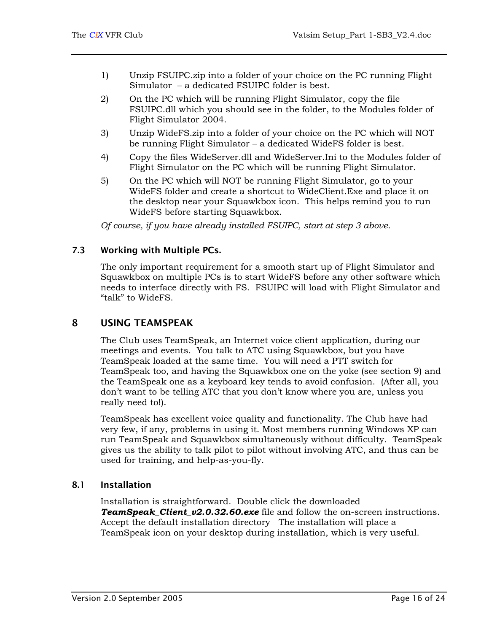- <span id="page-19-0"></span>1) Unzip FSUIPC.zip into a folder of your choice on the PC running Flight Simulator – a dedicated FSUIPC folder is best.
- 2) On the PC which will be running Flight Simulator, copy the file FSUIPC.dll which you should see in the folder, to the Modules folder of Flight Simulator 2004.
- 3) Unzip WideFS.zip into a folder of your choice on the PC which will NOT be running Flight Simulator – a dedicated WideFS folder is best.
- 4) Copy the files WideServer.dll and WideServer.Ini to the Modules folder of Flight Simulator on the PC which will be running Flight Simulator.
- 5) On the PC which will NOT be running Flight Simulator, go to your WideFS folder and create a shortcut to WideClient.Exe and place it on the desktop near your Squawkbox icon. This helps remind you to run WideFS before starting Squawkbox.

*Of course, if you have already installed FSUIPC, start at step 3 above.* 

#### 7.3 Working with Multiple PCs.

The only important requirement for a smooth start up of Flight Simulator and Squawkbox on multiple PCs is to start WideFS before any other software which needs to interface directly with FS. FSUIPC will load with Flight Simulator and "talk" to WideFS.

## 8 USING TEAMSPEAK

<span id="page-19-1"></span>The Club uses TeamSpeak, an Internet voice client application, during our meetings and events. You talk to ATC using Squawkbox, but you have TeamSpeak loaded at the same time. You will need a PTT switch for TeamSpeak too, and having the Squawkbox one on the yoke (see section [9\)](#page-25-1) and the TeamSpeak one as a keyboard key tends to avoid confusion. (After all, you don't want to be telling ATC that you don't know where you are, unless you really need to!).

TeamSpeak has excellent voice quality and functionality. The Club have had very few, if any, problems in using it. Most members running Windows XP can run TeamSpeak and Squawkbox simultaneously without difficulty. TeamSpeak gives us the ability to talk pilot to pilot without involving ATC, and thus can be used for training, and help-as-you-fly.

#### 8.1 Installation

Installation is straightforward. Double click the downloaded **TeamSpeak Client v2.0.32.60.exe** file and follow the on-screen instructions. Accept the default installation directory The installation will place a TeamSpeak icon on your desktop during installation, which is very useful.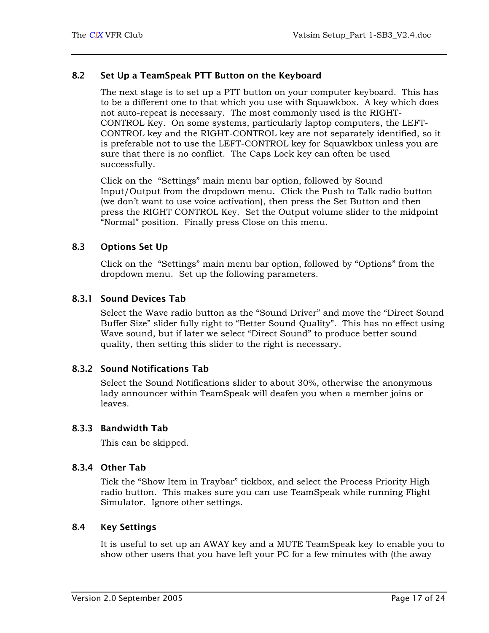#### <span id="page-20-0"></span>8.2 Set Up a TeamSpeak PTT Button on the Keyboard

The next stage is to set up a PTT button on your computer keyboard. This has to be a different one to that which you use with Squawkbox. A key which does not auto-repeat is necessary. The most commonly used is the RIGHT-CONTROL Key. On some systems, particularly laptop computers, the LEFT-CONTROL key and the RIGHT-CONTROL key are not separately identified, so it is preferable not to use the LEFT-CONTROL key for Squawkbox unless you are sure that there is no conflict. The Caps Lock key can often be used successfully.

Click on the "Settings" main menu bar option, followed by Sound Input/Output from the dropdown menu. Click the Push to Talk radio button (we don't want to use voice activation), then press the Set Button and then press the RIGHT CONTROL Key. Set the Output volume slider to the midpoint "Normal" position. Finally press Close on this menu.

#### 8.3 Options Set Up

Click on the "Settings" main menu bar option, followed by "Options" from the dropdown menu. Set up the following parameters.

#### 8.3.1 Sound Devices Tab

Select the Wave radio button as the "Sound Driver" and move the "Direct Sound Buffer Size" slider fully right to "Better Sound Quality". This has no effect using Wave sound, but if later we select "Direct Sound" to produce better sound quality, then setting this slider to the right is necessary.

#### 8.3.2 Sound Notifications Tab

Select the Sound Notifications slider to about 30%, otherwise the anonymous lady announcer within TeamSpeak will deafen you when a member joins or leaves.

#### 8.3.3 Bandwidth Tab

This can be skipped.

#### 8.3.4 Other Tab

Tick the "Show Item in Traybar" tickbox, and select the Process Priority High radio button. This makes sure you can use TeamSpeak while running Flight Simulator. Ignore other settings.

## 8.4 Key Settings

It is useful to set up an AWAY key and a MUTE TeamSpeak key to enable you to show other users that you have left your PC for a few minutes with (the away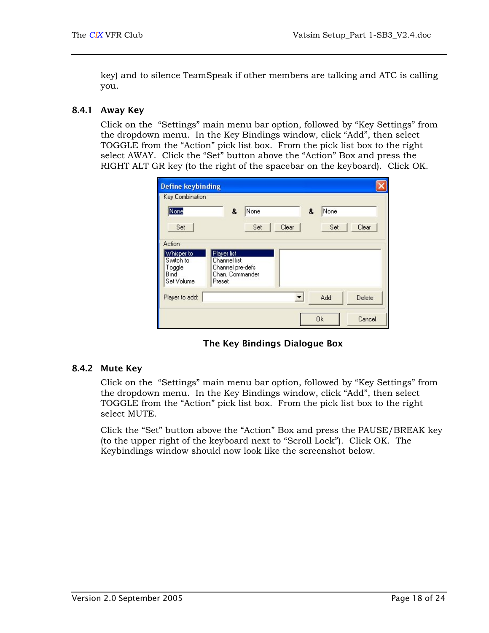key) and to silence TeamSpeak if other members are talking and ATC is calling you.

#### <span id="page-21-0"></span>8.4.1 Away Key

Click on the "Settings" main menu bar option, followed by "Key Settings" from the dropdown menu. In the Key Bindings window, click "Add", then select TOGGLE from the "Action" pick list box. From the pick list box to the right select AWAY. Click the "Set" button above the "Action" Box and press the RIGHT ALT GR key (to the right of the spacebar on the keyboard). Click OK.

| <b>Define keybinding</b>                                          |                                                                              |             |       |   |             |        |
|-------------------------------------------------------------------|------------------------------------------------------------------------------|-------------|-------|---|-------------|--------|
| Key Combination<br>None<br>Set                                    | 8                                                                            | None<br>Set | Clear | 8 | None<br>Set | Clear  |
| Action<br>Whisper to<br>Switch to<br>Toggle<br>Bind<br>Set Volume | Player list<br>Channel list<br>Channel pre-defs<br>Chan, Commander<br>Preset |             |       |   |             |        |
| Player to add:                                                    |                                                                              |             |       |   | Add         | Delete |
|                                                                   |                                                                              |             |       |   | <b>Ok</b>   | Cancel |

The Key Bindings Dialogue Box

#### 8.4.2 Mute Key

Click on the "Settings" main menu bar option, followed by "Key Settings" from the dropdown menu. In the Key Bindings window, click "Add", then select TOGGLE from the "Action" pick list box. From the pick list box to the right select MUTE.

Click the "Set" button above the "Action" Box and press the PAUSE/BREAK key (to the upper right of the keyboard next to "Scroll Lock"). Click OK. The Keybindings window should now look like the screenshot below.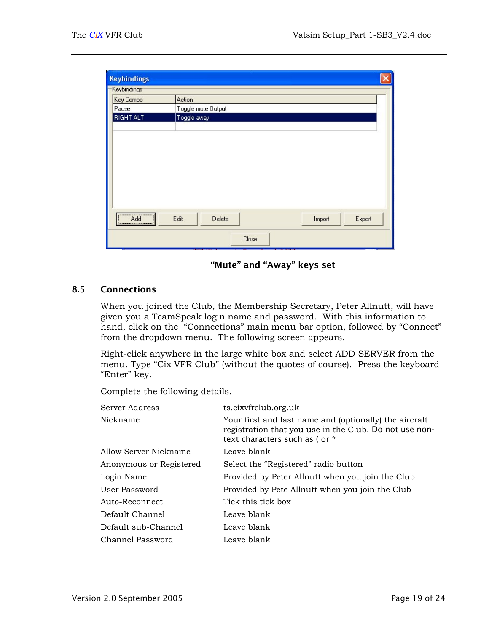<span id="page-22-0"></span>

| <b>Keybindings</b>       |                    |                  |  |  |
|--------------------------|--------------------|------------------|--|--|
| Keybindings <sup>-</sup> |                    |                  |  |  |
| Key Combo                | Action             |                  |  |  |
| Pause                    | Toggle mute Output |                  |  |  |
| <b>RIGHT ALT</b>         | Toggle away        |                  |  |  |
|                          |                    |                  |  |  |
|                          |                    |                  |  |  |
|                          |                    |                  |  |  |
|                          |                    |                  |  |  |
|                          |                    |                  |  |  |
|                          |                    |                  |  |  |
|                          |                    |                  |  |  |
|                          |                    |                  |  |  |
| Add<br><u> *</u>         | Edit<br>Delete     | Export<br>Import |  |  |

"Mute" and "Away" keys set

#### 8.5 Connections

When you joined the Club, the Membership Secretary, Peter Allnutt, will have given you a TeamSpeak login name and password. With this information to hand, click on the "Connections" main menu bar option, followed by "Connect" from the dropdown menu. The following screen appears.

Right-click anywhere in the large white box and select ADD SERVER from the menu. Type "Cix VFR Club" (without the quotes of course). Press the keyboard "Enter" key.

Complete the following details.

| Server Address          | ts.cixvfrclub.org.uk                                                                                                                              |
|-------------------------|---------------------------------------------------------------------------------------------------------------------------------------------------|
| Nickname                | Your first and last name and (optionally) the aircraft<br>registration that you use in the Club. Do not use non-<br>text characters such as (or * |
| Allow Server Nickname   | Leave blank                                                                                                                                       |
| Anonymous or Registered | Select the "Registered" radio button                                                                                                              |
| Login Name              | Provided by Peter Allnutt when you join the Club                                                                                                  |
| User Password           | Provided by Pete Allnutt when you join the Club                                                                                                   |
| Auto-Reconnect          | Tick this tick box                                                                                                                                |
| Default Channel         | Leave blank                                                                                                                                       |
| Default sub-Channel     | Leave blank                                                                                                                                       |
| Channel Password        | Leave blank                                                                                                                                       |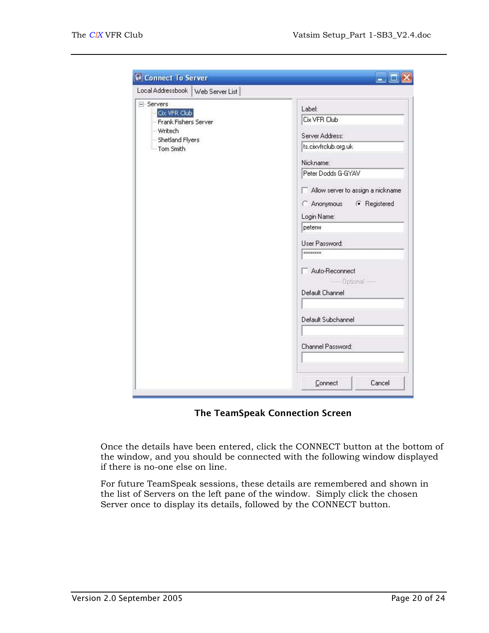| Local Addressbook<br>Web Server List                                                                                         |                                                                                                                                                                                                                                                                                                            |
|------------------------------------------------------------------------------------------------------------------------------|------------------------------------------------------------------------------------------------------------------------------------------------------------------------------------------------------------------------------------------------------------------------------------------------------------|
| <b>Connect To Server</b><br>F-Servers<br>Cix VFR Club<br>Frank Fishers Server<br>- Writech<br>Shetland Flyers<br>- Tom Smith | Label:<br>Cix VFR Club<br>Server Address:<br>ts.cixvfrclub.org.uk<br>Nickname:<br>Peter Dodds G-GYAV<br>Allow server to assign a nickname<br>C Anonymous<br><b>6</b> Registered<br>Login Name:<br>peterw<br>User Password:<br><b>xxxxxxxx</b><br>Auto-Reconnect<br>----- Optional -----<br>Default Channel |
|                                                                                                                              | Default Subchannel<br>Channel Password:                                                                                                                                                                                                                                                                    |
|                                                                                                                              | Cancel<br>Connect                                                                                                                                                                                                                                                                                          |

The TeamSpeak Connection Screen

Once the details have been entered, click the CONNECT button at the bottom of the window, and you should be connected with the following window displayed if there is no-one else on line.

For future TeamSpeak sessions, these details are remembered and shown in the list of Servers on the left pane of the window. Simply click the chosen Server once to display its details, followed by the CONNECT button.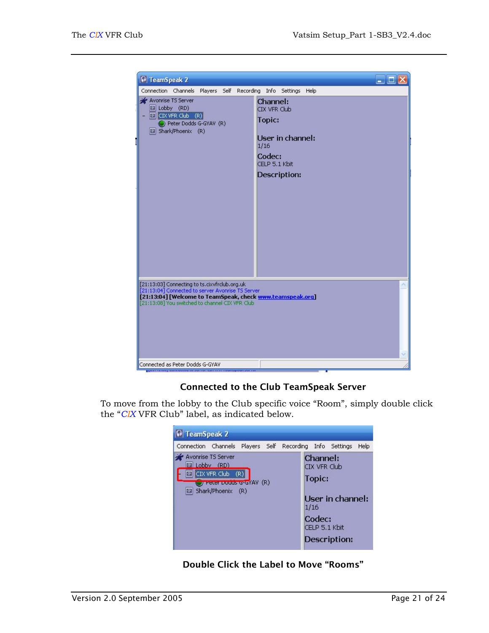

## Connected to the Club TeamSpeak Server

To move from the lobby to the Club specific voice "Room", simply double click the "*CIX* VFR Club" label, as indicated below.



Double Click the Label to Move "Rooms"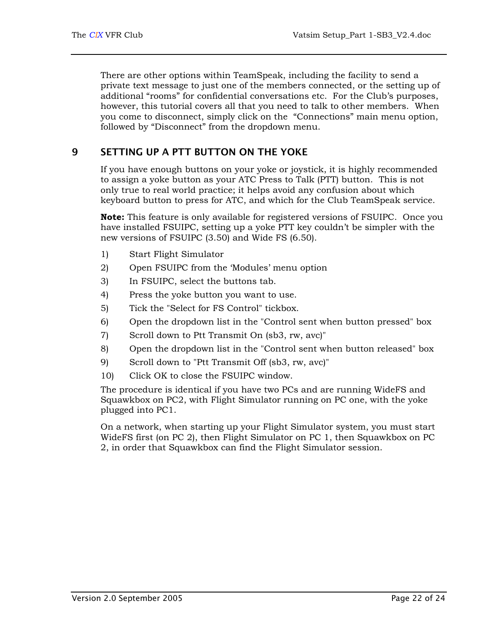<span id="page-25-0"></span>There are other options within TeamSpeak, including the facility to send a private text message to just one of the members connected, or the setting up of additional "rooms" for confidential conversations etc. For the Club's purposes, however, this tutorial covers all that you need to talk to other members. When you come to disconnect, simply click on the "Connections" main menu option, followed by "Disconnect" from the dropdown menu.

## 9 SETTING UP A PTT BUTTON ON THE YOKE

<span id="page-25-1"></span>If you have enough buttons on your yoke or joystick, it is highly recommended to assign a yoke button as your ATC Press to Talk (PTT) button. This is not only true to real world practice; it helps avoid any confusion about which keyboard button to press for ATC, and which for the Club TeamSpeak service.

**Note:** This feature is only available for registered versions of FSUIPC. Once you have installed FSUIPC, setting up a yoke PTT key couldn't be simpler with the new versions of FSUIPC (3.50) and Wide FS (6.50).

- 1) Start Flight Simulator
- 2) Open FSUIPC from the 'Modules' menu option
- 3) In FSUIPC, select the buttons tab.
- 4) Press the yoke button you want to use.
- 5) Tick the "Select for FS Control" tickbox.
- 6) Open the dropdown list in the "Control sent when button pressed" box
- 7) Scroll down to Ptt Transmit On (sb3, rw, avc)"
- 8) Open the dropdown list in the "Control sent when button released" box
- 9) Scroll down to "Ptt Transmit Off (sb3, rw, avc)"
- 10) Click OK to close the FSUIPC window.

The procedure is identical if you have two PCs and are running WideFS and Squawkbox on PC2, with Flight Simulator running on PC one, with the yoke plugged into PC1.

On a network, when starting up your Flight Simulator system, you must start WideFS first (on PC 2), then Flight Simulator on PC 1, then Squawkbox on PC 2, in order that Squawkbox can find the Flight Simulator session.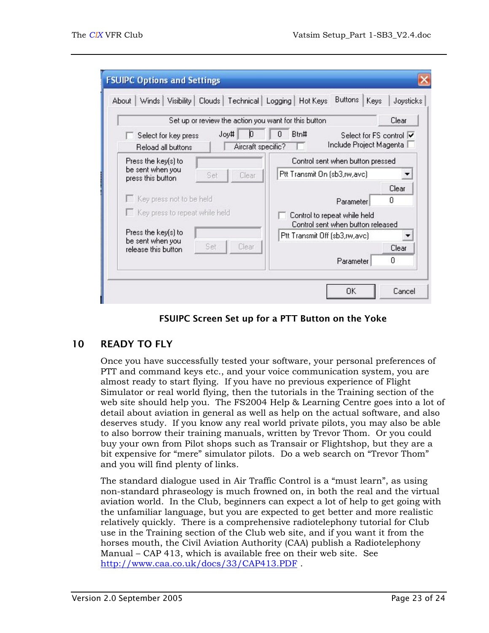<span id="page-26-0"></span>

|                                              |                            | Set up or review the action you want for this button |                                                                   | Clear |
|----------------------------------------------|----------------------------|------------------------------------------------------|-------------------------------------------------------------------|-------|
| Select for key press<br>Reload all buttons   | Joy#<br>Aircraft specific? | Btn#                                                 | Select for FS control V<br>Include Project Magenta                |       |
| Press the key(s) to                          |                            | Control sent when button pressed                     |                                                                   |       |
| be sent when you<br>Set<br>press this button | Clear                      | Ptt Transmit On (sb3,rw,avc)                         |                                                                   |       |
|                                              |                            |                                                      |                                                                   | Clear |
| Key press not to be held                     |                            |                                                      | Parameter                                                         | 0     |
| Key press to repeat while held               |                            |                                                      | Control to repeat while held<br>Control sent when button released |       |
| Press the key[s] to<br>be sent when you      |                            |                                                      | Ptt Transmit Off (sb3,rw,avc)                                     |       |
| Set<br>release this button                   | Clear                      |                                                      |                                                                   | Clear |
|                                              |                            |                                                      | Parameter                                                         | n     |

FSUIPC Screen Set up for a PTT Button on the Yoke

## 10 READY TO FLY

Once you have successfully tested your software, your personal preferences of PTT and command keys etc., and your voice communication system, you are almost ready to start flying. If you have no previous experience of Flight Simulator or real world flying, then the tutorials in the Training section of the web site should help you. The FS2004 Help & Learning Centre goes into a lot of detail about aviation in general as well as help on the actual software, and also deserves study. If you know any real world private pilots, you may also be able to also borrow their training manuals, written by Trevor Thom. Or you could buy your own from Pilot shops such as Transair or Flightshop, but they are a bit expensive for "mere" simulator pilots. Do a web search on "Trevor Thom" and you will find plenty of links.

The standard dialogue used in Air Traffic Control is a "must learn", as using non-standard phraseology is much frowned on, in both the real and the virtual aviation world. In the Club, beginners can expect a lot of help to get going with the unfamiliar language, but you are expected to get better and more realistic relatively quickly. There is a comprehensive radiotelephony tutorial for Club use in the Training section of the Club web site, and if you want it from the horses mouth, the Civil Aviation Authority (CAA) publish a Radiotelephony Manual – CAP 413, which is available free on their web site. See <http://www.caa.co.uk/docs/33/CAP413.PDF> .